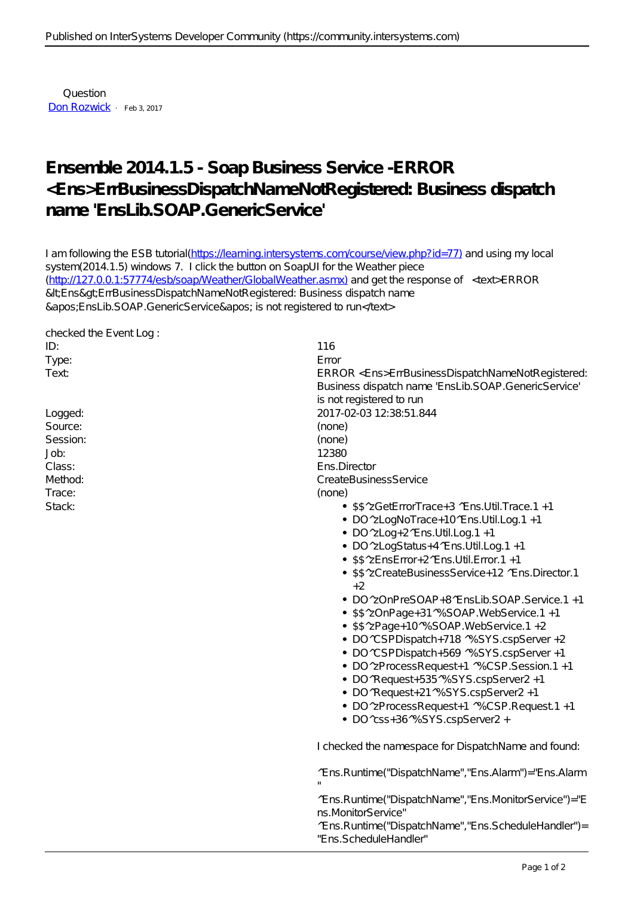Question [Don Rozwick](https://community.intersystems.com/user/don-rozwick) · Feb 3, 2017

## **Ensemble 2014.1.5 - Soap Business Service -ERROR <Ens>ErrBusinessDispatchNameNotRegistered: Business dispatch name 'EnsLib.SOAP.GenericService'**

I am following the ESB tutorial[\(https://learning.intersystems.com/course/view.php?id=77\)](https://learning.intersystems.com/course/view.php?id=77) and using my local system(2014.1.5) windows 7. I click the button on SoapUI for the Weather piece ([http://127.0.0.1:57774/esb/soap/Weather/GlobalWeather.asmx\)](http://127.0.0.1:57774/esb/soap/Weather/GlobalWeather.asmx) and get the response of <text>ERROR &ItEns&gtErrBusinessDispatchNameNotRegistered: Business dispatch name 'EnsLib.SOAP.GenericService' is not registered to run</text>

| checked the EventLog: |                                                                               |
|-----------------------|-------------------------------------------------------------------------------|
| ID:                   | 116                                                                           |
| Type:                 | E rror                                                                        |
| Text                  | ERROR <ens>ErrBusinessDispatchNameNotRegistered:</ens>                        |
|                       | Business dispatch name 'EnsLib.SOAP.GenericService'                           |
|                       | is not registered to run                                                      |
| Logged:               | 2017-02-03 12:38:51.844                                                       |
| Source:               | (none)                                                                        |
| Session:              | (none)                                                                        |
| Job:                  | 12380                                                                         |
| Class:                | Ens.Director                                                                  |
| Method:               | CreateBusinessService                                                         |
| Trace:                | (none)                                                                        |
| Stack:                | • \$\$^zGetErrorTrace+3 ^Ens.Util.Trace.1 +1                                  |
|                       | • DO ^zLogNoTrace+10^Ens.U til.Log.1 +1                                       |
|                       | $\bullet$ DO $^{\wedge}$ zLog + 2 $^{\wedge}$ Ens. U til. Log. 1 + 1          |
|                       | • DO ^zLogS ta tus + 4 ^E ns. U til. Log. 1 + 1                               |
|                       | • \$\$^zEnsError+2^Ens.Util.Error.1 +1                                        |
|                       | • \$\$^zCreateBusinessService+12 ^Ens.Director.1                              |
|                       | $+2$                                                                          |
|                       | • DO ^zOnPreSOAP+8^EnsLib.SOAP.Service.1 +1                                   |
|                       | • \$\$^zOnPage+31^%SOAP.WebService.1 +1                                       |
|                       | • \$\$^zPage+10^%SOAP.WebService.1 +2                                         |
|                       | • DO ^CSPDispatch+718 ^%SYS.cspServer +2                                      |
|                       |                                                                               |
|                       | • DO ^CSPDispatch+569 ^%SYS.cspServer +1                                      |
|                       | • DO 'zProcessRequest+1 '%CSP.Session.1 +1                                    |
|                       | • DO ^Request+535^%SYS.cspServer2 +1                                          |
|                       | • DO ^Request+21 ^% SYS.cspServer2 +1                                         |
|                       | • DO 'zProcessRequest+1 '%CSP.Request1 +1                                     |
|                       | · DO ^css+36^% SYS.cspServer2 +                                               |
|                       | I checked the namespace for DispatchName and found:                           |
|                       | ^E ns. R un time ("Dispatch Name", "E ns. A larm") = "E ns. A larm            |
|                       |                                                                               |
|                       | ^Ens.Runtime("DispatchName", "Ens.MonitorService")="E<br>ns.MonitorService"   |
|                       | ^Ens.Runtime("DispatchName", "Ens.ScheduleHandler")=<br>"Ens.ScheduleHandler" |